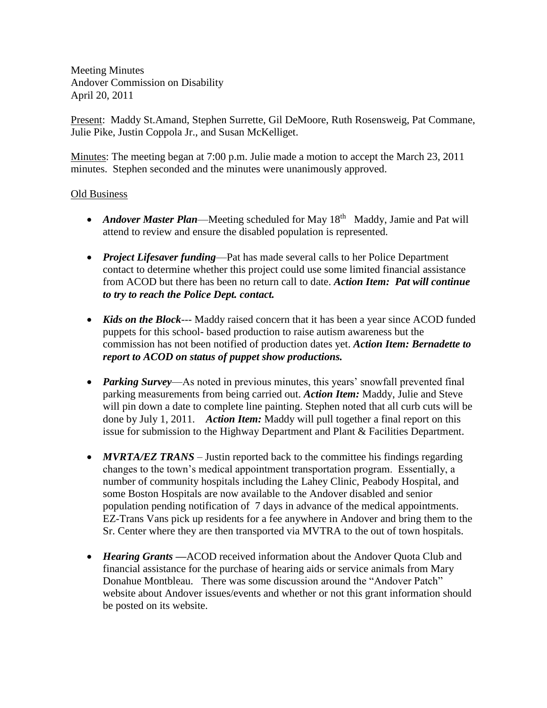Meeting Minutes Andover Commission on Disability April 20, 2011

Present: Maddy St.Amand, Stephen Surrette, Gil DeMoore, Ruth Rosensweig, Pat Commane, Julie Pike, Justin Coppola Jr., and Susan McKelliget.

Minutes: The meeting began at 7:00 p.m. Julie made a motion to accept the March 23, 2011 minutes. Stephen seconded and the minutes were unanimously approved.

## Old Business

- Andover Master Plan—Meeting scheduled for May 18<sup>th</sup> Maddy, Jamie and Pat will attend to review and ensure the disabled population is represented.
- *Project Lifesaver funding*—Pat has made several calls to her Police Department contact to determine whether this project could use some limited financial assistance from ACOD but there has been no return call to date. *Action Item: Pat will continue to try to reach the Police Dept. contact.*
- *Kids on the Block*--- Maddy raised concern that it has been a year since ACOD funded puppets for this school- based production to raise autism awareness but the commission has not been notified of production dates yet. *Action Item: Bernadette to report to ACOD on status of puppet show productions.*
- *Parking Survey*—As noted in previous minutes, this years' snowfall prevented final parking measurements from being carried out. *Action Item:* Maddy, Julie and Steve will pin down a date to complete line painting. Stephen noted that all curb cuts will be done by July 1, 2011. *Action Item:* Maddy will pull together a final report on this issue for submission to the Highway Department and Plant & Facilities Department.
- *MVRTA/EZ TRANS* Justin reported back to the committee his findings regarding changes to the town's medical appointment transportation program. Essentially, a number of community hospitals including the Lahey Clinic, Peabody Hospital, and some Boston Hospitals are now available to the Andover disabled and senior population pending notification of 7 days in advance of the medical appointments. EZ-Trans Vans pick up residents for a fee anywhere in Andover and bring them to the Sr. Center where they are then transported via MVTRA to the out of town hospitals.
- *Hearing Grants —*ACOD received information about the Andover Quota Club and financial assistance for the purchase of hearing aids or service animals from Mary Donahue Montbleau. There was some discussion around the "Andover Patch" website about Andover issues/events and whether or not this grant information should be posted on its website.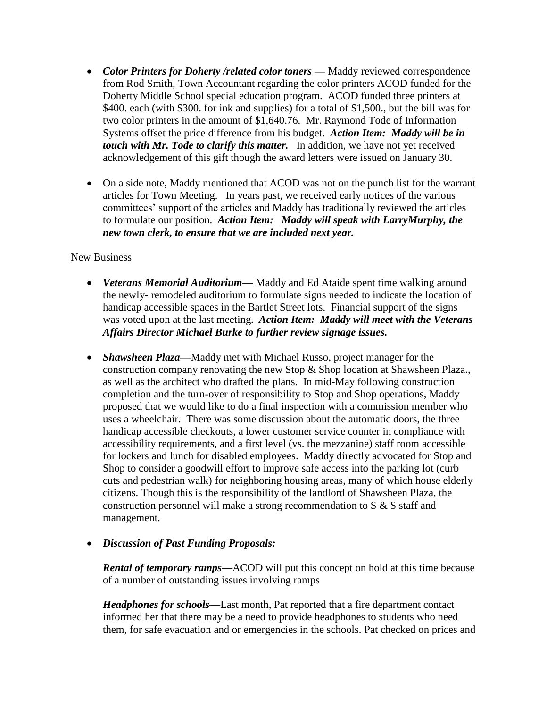- Color Printers for Doherty /related color toners Maddy reviewed correspondence from Rod Smith, Town Accountant regarding the color printers ACOD funded for the Doherty Middle School special education program. ACOD funded three printers at \$400. each (with \$300. for ink and supplies) for a total of \$1,500, but the bill was for two color printers in the amount of \$1,640.76. Mr. Raymond Tode of Information Systems offset the price difference from his budget. *Action Item: Maddy will be in touch with Mr. Tode to clarify this matter.* In addition, we have not yet received acknowledgement of this gift though the award letters were issued on January 30.
- On a side note, Maddy mentioned that ACOD was not on the punch list for the warrant articles for Town Meeting. In years past, we received early notices of the various committees' support of the articles and Maddy has traditionally reviewed the articles to formulate our position. *Action Item: Maddy will speak with LarryMurphy, the new town clerk, to ensure that we are included next year.*

## New Business

- *Veterans Memorial Auditorium—* Maddy and Ed Ataide spent time walking around the newly- remodeled auditorium to formulate signs needed to indicate the location of handicap accessible spaces in the Bartlet Street lots. Financial support of the signs was voted upon at the last meeting. *Action Item: Maddy will meet with the Veterans Affairs Director Michael Burke to further review signage issues.*
- *Shawsheen Plaza—*Maddy met with Michael Russo, project manager for the construction company renovating the new Stop & Shop location at Shawsheen Plaza., as well as the architect who drafted the plans. In mid-May following construction completion and the turn-over of responsibility to Stop and Shop operations, Maddy proposed that we would like to do a final inspection with a commission member who uses a wheelchair. There was some discussion about the automatic doors, the three handicap accessible checkouts, a lower customer service counter in compliance with accessibility requirements, and a first level (vs. the mezzanine) staff room accessible for lockers and lunch for disabled employees. Maddy directly advocated for Stop and Shop to consider a goodwill effort to improve safe access into the parking lot (curb cuts and pedestrian walk) for neighboring housing areas, many of which house elderly citizens. Though this is the responsibility of the landlord of Shawsheen Plaza, the construction personnel will make a strong recommendation to S & S staff and management.

## *Discussion of Past Funding Proposals:*

*Rental of temporary ramps—*ACOD will put this concept on hold at this time because of a number of outstanding issues involving ramps

*Headphones for schools—*Last month, Pat reported that a fire department contact informed her that there may be a need to provide headphones to students who need them, for safe evacuation and or emergencies in the schools. Pat checked on prices and